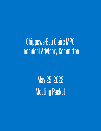# Chippewa-Eau Claire MPO Technical Advisory Committee

May 25, 2022 Meeting Packet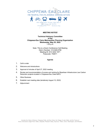

800 Wisconsin Street, Mail Box 9 Eau Claire, WI 54703 715.836.2918 wcwrpc.org

#### *MEETING NOTICE*

#### **Technical Advisory Committee of the Chippewa-Eau Claire Metropolitan Planning Organization Wednesday, May 25, 2022** 1:30 p.m.

Note: This is a Zoom Conference Call Meeting Dial in Number: 312.626.6799 Meeting ID: 814 3242 1871 Passcode: 754671

#### **Agenda**

- 1. Call to order
- 2. Welcome and introductions
- 3. Approval of minutes of April 27, 2022 meeting
- 4. Review and recommendation of scores and ranking for Bipartisan Infrastructure Law Carbon Reduction projects located in Chippewa-Eau Claire MPO.
- 5. Other Business
- 6. Establish next meeting date (tentatively August 10, 2022)
- 7. Adjournment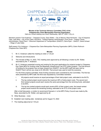

**Minutes of the Technical Advisory Committee (TAC) of the Chippewa-Eau Claire Metropolitan Planning Organization** Held as a virtual meeting over Zoom Wednesday, April 27, 2022 1:30 p.m.

Members present: Fred Anderson – Chippewa County, Dave Walter – City of Altoona, Brad Hentschel – City of Chippewa Falls, Leah Ness – City of Eau Claire, Karl Buck – Federal Highway Administration, Evan Gross – Federal Transit Administration, Diane Paoni – Wisconsin Department of Transportation (WisDOT), Dena Ryan – WisDOT, Derek Schaad – Village of Lake Hallie

Staff present: Eric Anderson – Chippewa-Eau Claire Metropolitan Planning Organization (MPO), Edwin Rothrock - Chippewa-Eau Claire MPO

#### **Minutes**

- 1. Mr. E. Anderson called the meeting to order a 1:33 pm
- 2. Welcome and introductions
- 3. The minutes of May 13, 2022, TAC meeting were approved by all following a motion by Mr. Walter, seconded by Mr. F. Anderson.
- 4. Mr. E. Anderson presented scoring and ranking for the grant applications for projects located in Chippewa-Eau Claire MPA for funding under the Bipartisan Infrastructure Law STP-Urban program. The final amount of funding for the program has not been shared from WisDOT, but the MPO staff has been told by WisDOT that it will be very close to \$1,500,000. That amount was used to build the scenarios.

For the three projects submitted, three funding scenarios were considered by the Committee. The first two were presented by MPO staff, the third was requested by Committee members:

- i. All projects would receive an equal percentage of their total project costs, estimated to be 64.5%.
- ii. The top ranked project would receive the maximum 80% of total project costs. The second and third ranked projects would each receive the same percentage from the remining funds, estimated to be 60%.
- iii. The top two ranked projects would each receive 80% of their project costs, the lowest-ranked project would receive the remaining funding, estimated to be 57% of the project costs.

After a brief discussion, a motion to recommend Scenario ii. to the MPO Policy Council was made by Ms. Ness, seconded by Mr. Walter, and approved by all.

- 5. Other Business none
- 6. Establish next meeting date tentatively set for August 10, 2022
- 7. The meeting adjourned at 1:53 pm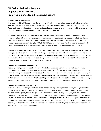# **BIL Carbon Reduction Program Chippewa-Eau Claire MPO Project Summaries From Project Applications**

## **Altoona Vehicle Replacement**

If funded, the City of Altoona in Eau Claire County, WI will be replacing four vehicles with alternative fuel vehicles. We will also be installing charging stations at four different locations within the City of Altoona. Attached is a spreadsheet that shows the estimated costs, locations, uses and types of vehicles along with the required charging stations needed at each location for the vehicles.

According to a March 4, 2022, released study by the University of Michigan and For Motor Company researchers found that the average replacing an internal-combustion pickup truck with a battery-electric pickup saves 74 metric tons carbon dioxide equivalent over the lifetime of the vehicles. Study Information: https://iopscience.iop.org/article/10.1088/1748-9326/ac5142 I have also attached a pdf of this study. By changing our fleet to this type of vehicle we will be able to reduce the amount of Greenhouse gas.

The City of Altoona tries to lead by example. If we should get the funding for these vehicles, we will be show casing the electric vehicles at our City Hall along with our newest Parks & Recreation Center also known as the Fish House. We will be using one as a Parks Maintenance vehicle and one as a Public Works vehicle. Our community will be an example of what a strong community invested in the sustainability of our natural resources and how every little bit can make a difference

#### **Eau Claire County Vehicle Replacement**

Replacing four 1/2-ton vehicles from our fleet with four Electronic Vehicles will provide the following reductions in transportation emissions. An estimated savings of \$5,708.00 per year on fuel costs. Additional financial savings will be seen from the reduced maintenance costs that come with electric vehicles. Using the EPA GHG Equivalencies Calculator, we can also estimate the total GHG emission savings will be approximately 35 tons of CO2e per year. The electricity used to power these vehicles will be from 100% renewable energy as a result of the on-site solar at the highway facility and solar subscriptions at other county facilities.

#### **Eau Claire County Charging Stations**

Installation of four EV charging stations inside of the new Highway Department facility will begin to reduce the 2,478 metric tons of CO2e that the Eau Claire County vehicle fleet currently produces. The EV chargers are part of the highway facility design, and the construction of the facility has begun, and the bids are completed for the project. The timeline and pricing are not likely to change beyond what is reflected in the Project Costs and Dates section. The investment in EV charging infrastructure and the replacement of fossil fuel powered vehicles with electric vehicles will result in reduced fleet operating costs. The reduction of fleet operating costs can be reinvested into more essential services provided by the county highway department such as road repairs and maintenance.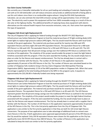#### **Eau Claire County Telehandler**

We currently use a Caterpillar telehandler for all our yard loading and unloading of materials. Replacing this unit with an EV JCB telehandler unit will reduce emissions and provide an additional benefit of being able to use this unit indoors since there is no combustible engine exhaust. Using the EPA GHG Equivalencies Calculator, we can also estimate the total GHG emission savings will be approximately 2 tons of CO2e per year. The electricity used to power this equipment will be from 100% renewable energy as a result of the onsite solar at the highway facility. The additional benefits of replacing heavy duty equipment with electric alternatives are the reduced health impacts from excessive emissions, noise, etc. that comes from operating this type of equipment.

### **Chippewa Falls Street Light Replacement #1**

The City of Chippewa Falls is applying for federal funding through the WisDOT FFY 2022 Bipartisan Infrastructure Law Carbon Reduction Program to fund the material purchase of 70 light emitting diode (LED) street lights to replace high pressure sodium (HPS) lights. The City would install the fixtures with local funds outside of the grant application. The material only purchase would be for twenty-two 400-watt HPS equivalent fixtures and forty-eight 250-watt HPS equivalent fixtures. The equivalent fixture for a 400-watt HPS fixture is a 166-watt LED. The equivalent fixture for a 250-watt HPS fixture is an 85-watt LED. The LED fixtures represent greater than 60 percent energy savings over the traditional HPS fixture as outlined in the narrative of the application. The simplicity of this project would enable the project to meet the tight federal timelines associated with this program. If the City were awarded the funding, the City would simply have to place an order for the fixtures and request reimbursement. The City has already been in contact with a supplier that is familiar with the fixtures. The number of LED fixtures in the application represents approximately 32 percent of the HPS fixtures in the City. The number of fixtures was calculated based on the number of Chippewa Falls residents living in the Eau Claire-Chippewa Falls Metropolitan Planning Organization (MPO). Approximately 12.5% of the MPO population resides in Chippewa Falls. When that same percentage is applied to the total funding attributed to the MPO in this program cycle, it equates to approximately the \$35,356.80 in federally funded costs being requested.

## **Chippewa Falls Street Light Replacement #2**

The City of Chippewa Falls is applying for federal funding through the WisDOT FFY 2022 Bipartisan Infrastructure Law Carbon Reduction Program to fund the material purchase of 74 light emitting diode (LED) street lights to replace high pressure sodium (HPS) lights. The City would install the fixtures with local funds outside of the grant application. The material only purchase would be for seventy-four 250-watt HPS equivalent fixtures. The equivalent fixture for a 250-watt HPS fixture is an 85-watt LED. The LED fixtures represent greater than 60 percent energy savings over the traditional HPS fixture as outlined in the narrative of the application. The simplicity of this project would enable the project to meet the tight federal timelines associated with this program. If the City were awarded the funding, the City would simply have to place an order for the fixtures and request reimbursement. The City has already been in contact with a supplier that is familiar with the fixtures. The number of LED fixtures in the application represents approximately 33 percent of the HPS fixtures in the City. This is the 2nd priority application from the City of Chippewa Falls. This application is very similar to the first priority application in that they are both for LED street light fixtures conversions. The purpose of two applications was to take advantage of additional funds to convert even more fixtures in the City. If both applications were approved approximately 65 percent of the HPS fixtures in the City would be replaced. Only 250 W equivalent fixtures were chosen for this application as the City has significantly more 250 W HPS fixtures than 400 W fixtures. The number of fixtures in this application was calculated to keep the total cost similar to the first priority application